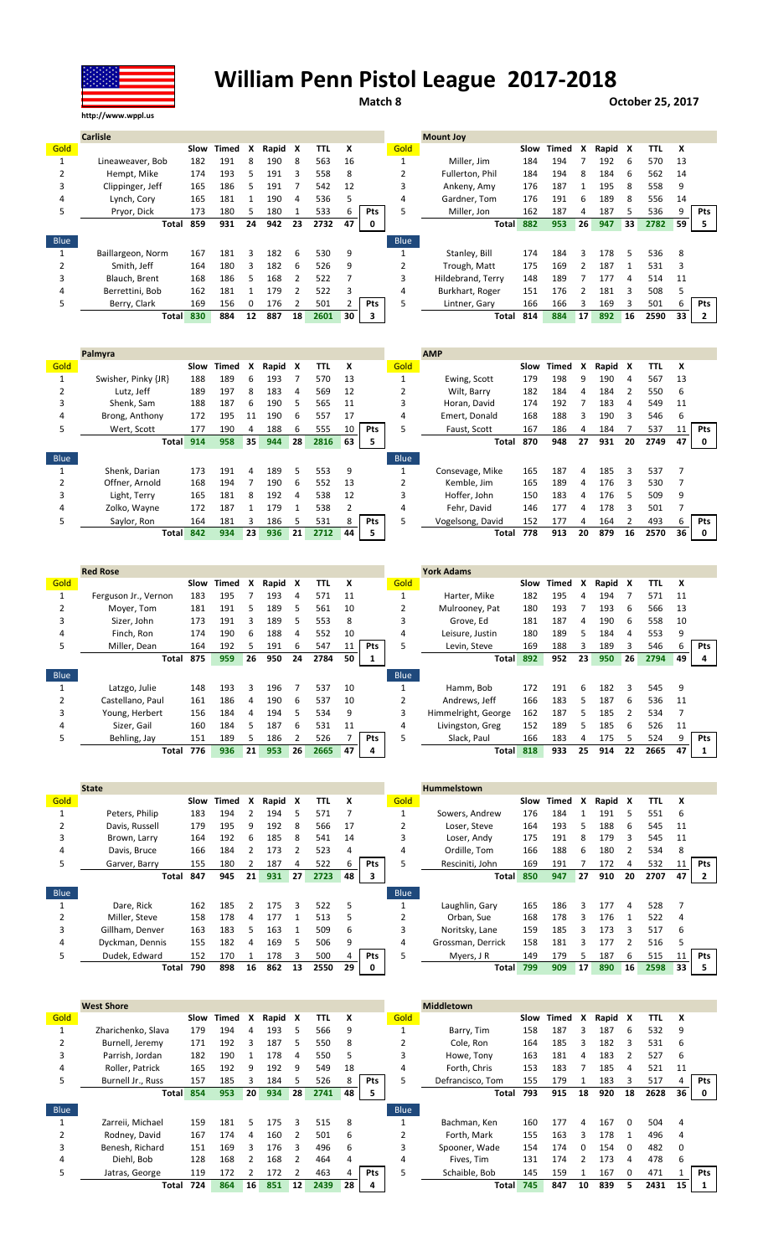

## William Penn Pistol League 2017-2018

Match 8 **October 25, 2017** 

|      | <b>Carlisle</b>   |      |       |              |         |    |      |    |     |             | <b>Mount Joy</b>  |      |       |    |         |    |      |      |     |
|------|-------------------|------|-------|--------------|---------|----|------|----|-----|-------------|-------------------|------|-------|----|---------|----|------|------|-----|
| Gold |                   | Slow | Timed | x            | Rapid X |    | TTL  | X  |     | Gold        |                   | Slow | Timed | x  | Rapid X |    | TTL  | X    |     |
|      | Lineaweaver, Bob  | 182  | 191   | 8            | 190     | 8  | 563  | 16 |     |             | Miller. Jim       | 184  | 194   |    | 192     | 6  | 570  | 13   |     |
|      | Hempt, Mike       | 174  | 193   | 5.           | 191     | 3  | 558  | 8  |     |             | Fullerton, Phil   | 184  | 194   | 8  | 184     | 6  | 562  | 14   |     |
| 3    | Clippinger, Jeff  | 165  | 186   |              | 191     |    | 542  | 12 |     |             | Ankeny, Amy       | 176  | 187   |    | 195     | 8  | 558  | 9    |     |
| 4    | Lynch, Cory       | 165  | 181   |              | 190     | 4  | 536  | כ  |     | 4           | Gardner. Tom      | 176  | 191   | b  | 189     | 8  | 556  | 14   |     |
| 5    | Pryor, Dick       | 173  | 180   |              | 180     |    | 533  | 6  | Pts | 5           | Miller, Jon       | 162  | 187   |    | 187     | 5. | 536  | q    | Pts |
|      | Total             | 859  | 931   | 24           | 942     | 23 | 2732 | 47 | 0   |             | <b>Total</b>      | 882  | 953   | 26 | 947     | 33 | 2782 | 59 I | 5.  |
| Blue |                   |      |       |              |         |    |      |    |     | <b>Blue</b> |                   |      |       |    |         |    |      |      |     |
|      | Baillargeon, Norm | 167  | 181   |              | 182     | 6  | 530  | 9  |     |             | Stanley, Bill     | 174  | 184   |    | 178     | 5  | 536  | 8    |     |
|      | Smith. Jeff       | 164  | 180   | 3            | 182     | 6  | 526  | 9  |     |             | Trough, Matt      | 175  | 169   |    | 187     |    | 531  | 3    |     |
| 3    | Blauch, Brent     | 168  | 186   | 5.           | 168     |    | 522  |    |     | 3           | Hildebrand, Terry | 148  | 189   |    | 177     | Δ  | 514  | 11   |     |
| 4    | Berrettini, Bob   | 162  | 181   |              | 179     |    | 522  |    |     | 4           | Burkhart, Roger   | 151  | 176   |    | 181     | 3  | 508  |      |     |
| 5    | Berry, Clark      | 169  | 156   | <sup>0</sup> | 176     |    | 501  |    | Pts | 5           | Lintner, Gary     | 166  | 166   | 3  | 169     | ς  | 501  | h    | Pts |
|      | <b>Total</b>      | 830  | 884   | 12           | 887     | 18 | 2601 | 30 | 3   |             | Total             | 814  | 884   | 17 | 892     | 16 | 2590 | 33   |     |

|      | Palmyra             |      |       |    |       |    |      |    |            |             | <b>AMP</b>       |      |       |    |       |    |      |    |     |
|------|---------------------|------|-------|----|-------|----|------|----|------------|-------------|------------------|------|-------|----|-------|----|------|----|-----|
| Gold |                     | Slow | Timed | x  | Rapid | x  | TTL  | x  |            | Gold        |                  | Slow | Timed | X  | Rapid | X  | TTL  | x  |     |
|      | Swisher, Pinky {JR} | 188  | 189   | 6  | 193   |    | 570  | 13 |            |             | Ewing, Scott     | 179  | 198   | 9  | 190   | 4  | 567  | 13 |     |
|      | Lutz, Jeff          | 189  | 197   | 8  | 183   | 4  | 569  | 12 |            | 2           | Wilt, Barry      | 182  | 184   | 4  | 184   |    | 550  | 6  |     |
| 3    | Shenk. Sam          | 188  | 187   | 6  | 190   | 5  | 565  | 11 |            | 3           | Horan, David     | 174  | 192   |    | 183   | 4  | 549  | 11 |     |
| 4    | Brong, Anthony      | 172  | 195   | 11 | 190   | 6  | 557  | 17 |            | 4           | Emert, Donald    | 168  | 188   | 3  | 190   | 3  | 546  | b  |     |
| 5    | Wert, Scott         | 177  | 190   | 4  | 188   | 6  | 555  | 10 | <b>Pts</b> | 5           | Faust, Scott     | 167  | 186   | 4  | 184   |    | 537  |    | Pts |
|      | <b>Total</b>        | 914  | 958   | 35 | 944   | 28 | 2816 | 63 | 5          |             | Total            | 870  | 948   | 27 | 931   | 20 | 2749 | 47 | 0   |
| Blue |                     |      |       |    |       |    |      |    |            | <b>Blue</b> |                  |      |       |    |       |    |      |    |     |
|      | Shenk, Darian       | 173  | 191   | 4  | 189   | 5  | 553  | 9  |            |             | Consevage, Mike  | 165  | 187   | 4  | 185   | 3  | 537  |    |     |
|      | Offner, Arnold      | 168  | 194   |    | 190   | 6  | 552  | 13 |            |             | Kemble. Jim      | 165  | 189   | 4  | 176   | з  | 530  |    |     |
| 3    | Light, Terry        | 165  | 181   | 8  | 192   | 4  | 538  | 12 |            | 3           | Hoffer. John     | 150  | 183   | 4  | 176   | 5  | 509  | 9  |     |
| 4    | Zolko, Wayne        | 172  | 187   |    | 179   |    | 538  |    |            | 4           | Fehr. David      | 146  | 177   | 4  | 178   | з  | 501  |    |     |
| 5    | Saylor, Ron         | 164  | 181   | 3  | 186   |    | 531  | 8  | <b>Pts</b> | 5           | Vogelsong, David | 152  | 177   | 4  | 164   |    | 493  | b  | Pts |
|      | <b>Total</b>        | 842  | 934   | 23 | 936   | 21 | 2712 | 44 | 5          |             | Total            | 778  | 913   | 20 | 879   | 16 | 2570 | 36 | 0   |
|      |                     |      |       |    |       |    |      |    |            |             |                  |      |       |    |       |    |      |    |     |

|             | <b>Red Rose</b>      |      |       |    |       |    |      |    |     |             | <b>York Adams</b>   |      |       |    |         |    |      |    |            |
|-------------|----------------------|------|-------|----|-------|----|------|----|-----|-------------|---------------------|------|-------|----|---------|----|------|----|------------|
| Gold        |                      | Slow | Timed | x  | Rapid | x  | TΤL  | x  |     | Gold        |                     | Slow | Timed | X  | Rapid X |    | TTL  | x  |            |
|             | Ferguson Jr., Vernon | 183  | 195   |    | 193   | 4  | 571  | 11 |     |             | Harter, Mike        | 182  | 195   | 4  | 194     |    | 571  | 11 |            |
|             | Moyer, Tom           | 181  | 191   |    | 189   | 5  | 561  | 10 |     |             | Mulrooney, Pat      | 180  | 193   |    | 193     | 6  | 566  | 13 |            |
| 3           | Sizer, John          | 173  | 191   | 3  | 189   | 5  | 553  | 8  |     |             | Grove. Ed           | 181  | 187   | 4  | 190     | 6  | 558  | 10 |            |
| 4           | Finch. Ron           | 174  | 190   | 6  | 188   | 4  | 552  | 10 |     | 4           | Leisure, Justin     | 180  | 189   |    | 184     | 4  | 553  | 9  |            |
| 5           | Miller. Dean         | 164  | 192   | 5  | 191   | 6  | 547  |    | Pts | 5           | Levin. Steve        | 169  | 188   |    | 189     | 3  | 546  | 6  | <b>Pts</b> |
|             | Total                | 875  | 959   | 26 | 950   | 24 | 2784 | 50 | 1   |             | <b>Total</b>        | 892  | 952   | 23 | 950     | 26 | 2794 | 49 |            |
|             |                      |      |       |    |       |    |      |    |     |             |                     |      |       |    |         |    |      |    |            |
| <b>Blue</b> |                      |      |       |    |       |    |      |    |     | <b>Blue</b> |                     |      |       |    |         |    |      |    |            |
|             | Latzgo, Julie        | 148  | 193   | Ρ  | 196   |    | 537  | 10 |     |             | Hamm, Bob           | 172  | 191   | 6  | 182     | 3  | 545  | -9 |            |
|             | Castellano. Paul     | 161  | 186   | 4  | 190   | 6  | 537  | 10 |     |             | Andrews. Jeff       | 166  | 183   |    | 187     | 6  | 536  | 11 |            |
| 3           | Young, Herbert       | 156  | 184   | 4  | 194   | 5  | 534  | 9  |     | 3           | Himmelright, George | 162  | 187   |    | 185     |    | 534  |    |            |
| 4           | Sizer. Gail          | 160  | 184   | 5  | 187   | 6  | 531  | 11 |     | 4           | Livingston, Greg    | 152  | 189   |    | 185     | 6  | 526  | 11 |            |
| 5           | Behling, Jay         | 151  | 189   | 5. | 186   |    | 526  |    | Pts |             | Slack, Paul         | 166  | 183   | 4  | 175     | 5. | 524  | 9  | <b>Pts</b> |

|      | <b>State</b>    |      |       |          |       |    |      |    |     |             | <b>Hummelstown</b> |      |       |    |         |    |      |    |            |
|------|-----------------|------|-------|----------|-------|----|------|----|-----|-------------|--------------------|------|-------|----|---------|----|------|----|------------|
| Gold |                 | Slow | Timed | x        | Rapid | X  | TTL  | X  |     | Gold        |                    | Slow | Timed | X  | Rapid X |    | TTL  | X  |            |
|      | Peters, Philip  | 183  | 194   |          | 194   | 5  | 571  |    |     |             | Sowers, Andrew     | 176  | 184   |    | 191     |    | 551  | 6  |            |
|      | Davis, Russell  | 179  | 195   | 9        | 192   | 8  | 566  | 17 |     |             | Loser. Steve       | 164  | 193   |    | 188     | 6  | 545  | 11 |            |
| 3    | Brown, Larry    | 164  | 192   | 6        | 185   | 8  | 541  | 14 |     | 3           | Loser. Andy        | 175  | 191   | 8  | 179     | ξ  | 545  | 11 |            |
| 4    | Davis, Bruce    | 166  | 184   |          | 173   |    | 523  | 4  |     | 4           | Ordille. Tom       | 166  | 188   | b. | 180     |    | 534  | 8  |            |
| 5    | Garver, Barry   | 155  | 180   |          | 187   | 4  | 522  |    | Pts |             | Resciniti, John    | 169  | 191   |    | 172     | 4  | 532  | 11 | <b>Pts</b> |
|      | Total           | 847  | 945   | 21       | 931   | 27 | 2723 | 48 | з   |             | <b>Total</b>       | 850  | 947   | 27 | 910     | 20 | 2707 | 47 |            |
|      |                 |      |       |          |       |    |      |    |     |             |                    |      |       |    |         |    |      |    |            |
| Blue |                 |      |       |          |       |    |      |    |     | <b>Blue</b> |                    |      |       |    |         |    |      |    |            |
|      | Dare, Rick      | 162  | 185   | <b>C</b> | 175   | Ρ  | 522  | 5  |     |             | Laughlin, Gary     | 165  | 186   | ર  | 177     | 4  | 528  |    |            |
|      | Miller. Steve   | 158  | 178   | 4        | 177   |    | 513  | 5  |     |             | Orban, Sue         | 168  | 178   |    | 176     |    | 522  |    |            |
| 3    | Gillham. Denver | 163  | 183   | 5        | 163   |    | 509  | 6  |     | 3           | Noritsky, Lane     | 159  | 185   | ₹  | 173     | ર  | 517  | 6  |            |
| 4    | Dyckman, Dennis | 155  | 182   | Δ        | 169   | 5  | 506  | q  |     | 4           | Grossman, Derrick  | 158  | 181   |    | 177     |    | 516  |    |            |
| 5    | Dudek, Edward   | 152  | 170   |          | 178   | ς  | 500  |    | Pts |             | Myers, J R         | 149  | 179   |    | 187     | 6  | 515  |    | <b>Pts</b> |

|             | <b>West Shore</b>  |      |       |    |       |    |            |    |     |             | <b>Middletown</b> |      |       |              |         |          |      |          |            |
|-------------|--------------------|------|-------|----|-------|----|------------|----|-----|-------------|-------------------|------|-------|--------------|---------|----------|------|----------|------------|
| Gold        |                    | Slow | Timed | x  | Rapid | X  | <b>TTL</b> | X  |     | Gold        |                   | Slow | Timed | X            | Rapid X |          | TTL  | x        |            |
|             | Zharichenko, Slava | 179  | 194   | 4  | 193   | 5. | 566        | 9  |     |             | Barry, Tim        | 158  | 187   |              | 187     | 6        | 532  | 9        |            |
|             | Burnell, Jeremy    | 171  | 192   | 3  | 187   | 5. | 550        | 8  |     |             | Cole, Ron         | 164  | 185   | ₹            | 182     | 3        | 531  | -6       |            |
|             | Parrish, Jordan    | 182  | 190   |    | 178   | 4  | 550        | 5. |     |             | Howe, Tony        | 163  | 181   | 4            | 183     |          | 527  | 6        |            |
| 4           | Roller, Patrick    | 165  | 192   | q  | 192   | 9  | 549        | 18 |     | 4           | Forth. Chris      | 153  | 183   |              | 185     | 4        | 521  | 11       |            |
| 5.          | Burnell Jr., Russ  | 157  | 185   |    | 184   |    | 526        |    | Pts | 5           | Defrancisco, Tom  | 155  | 179   |              | 183     |          | 517  |          | <b>Pts</b> |
|             | <b>Total</b>       | 854  | 953   | 20 | 934   | 28 | 2741       | 48 | 5.  |             | Total             | 793  | 915   | 18           | 920     | 18       | 2628 | 36       | 0          |
| <b>Blue</b> |                    |      |       |    |       |    |            |    |     | <b>Blue</b> |                   |      |       |              |         |          |      |          |            |
|             | Zarreii. Michael   | 159  | 181   |    | 175   | 3  | 515        | 8  |     |             | Bachman, Ken      | 160  | 177   | 4            | 167     | $\Omega$ | 504  | 4        |            |
|             | Rodney, David      | 167  | 174   | 4  | 160   | 2  | 501        | 6  |     |             | Forth, Mark       | 155  | 163   | ₹            | 178     |          | 496  | 4        |            |
|             | Benesh, Richard    | 151  | 169   |    | 176   | 3  | 496        | 6  |     |             | Spooner, Wade     | 154  | 174   | <sup>0</sup> | 154     | 0        | 482  | $\Omega$ |            |
| 4           | Diehl. Bob         | 128  | 168   |    | 168   |    | 464        | 4  |     | 4           | Fives, Tim        | 131  | 174   |              | 173     | 4        | 478  | 6        |            |
| 5.          | Jatras, George     | 119  | 172   |    | 172   |    | 463        |    | Pts | 5           | Schaible, Bob     | 145  | 159   |              | 167     |          | 471  |          | <b>Pts</b> |
|             | Total              | 724  | 864   | 16 | 851   | 12 | 2439       | 28 | 4   |             | Total             | 745  | 847   | 10           | 839     |          | 2431 | 15       |            |